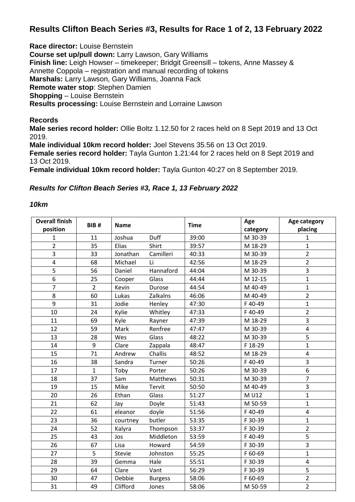## **Results Clifton Beach Series #3, Results for Race 1 of 2, 13 February 2022**

**Race director:** Louise Bernstein

**Course set up/pull down:** Larry Lawson, Gary Williams **Finish line:** Leigh Howser – timekeeper; Bridgit Greensill – tokens, Anne Massey & Annette Coppola – registration and manual recording of tokens **Marshals:** Larry Lawson, Gary Williams, Joanna Fack **Remote water stop**: Stephen Damien **Shopping** – Louise Bernstein **Results processing:** Louise Bernstein and Lorraine Lawson

## **Records**

**Male series record holder:** Ollie Boltz 1.12.50 for 2 races held on 8 Sept 2019 and 13 Oct 2019.

**Male individual 10km record holder:** Joel Stevens 35.56 on 13 Oct 2019. **Female series record holder:** Tayla Gunton 1.21:44 for 2 races held on 8 Sept 2019 and 13 Oct 2019.

**Female individual 10km record holder:** Tayla Gunton 40:27 on 8 September 2019.

## *Results for Clifton Beach Series #3, Race 1, 13 February 2022*

## *10km*

| <b>Overall finish</b> | BIB <sub>#</sub> | <b>Name</b> |                | <b>Time</b> | Age      | Age category   |
|-----------------------|------------------|-------------|----------------|-------------|----------|----------------|
| position              |                  |             |                |             | category | placing        |
| 1                     | 11               | Joshua      | Duff           | 39:00       | M 30-39  | $\mathbf{1}$   |
| $\overline{2}$        | 35               | Elias       | Shirt          | 39:57       | M 18-29  | $\mathbf{1}$   |
| $\overline{3}$        | 33               | Jonathan    | Camilleri      | 40:33       | M 30-39  | $\overline{2}$ |
| $\pmb{4}$             | 68               | Michael     | Li             | 42:56       | M 18-29  | $\overline{2}$ |
| $\overline{5}$        | 56               | Daniel      | Hannaford      | 44:04       | M 30-39  | $\overline{3}$ |
| 6                     | 25               | Cooper      | Glass          | 44:44       | M 12-15  | $\mathbf{1}$   |
| $\overline{7}$        | $\overline{2}$   | Kevin       | Durose         | 44:54       | M 40-49  | $\mathbf{1}$   |
| 8                     | 60               | Lukas       | Zalkalns       | 46:06       | M 40-49  | $\overline{2}$ |
| 9                     | 31               | Jodie       | Henley         | 47:30       | F40-49   | $\mathbf{1}$   |
| 10                    | 24               | Kylie       | Whitley        | 47:33       | F40-49   | $\overline{2}$ |
| 11                    | 69               | Kyle        | Rayner         | 47:39       | M 18-29  | 3              |
| 12                    | 59               | Mark        | Renfree        | 47:47       | M 30-39  | $\overline{4}$ |
| 13                    | 28               | Wes         | Glass          | 48:22       | M 30-39  | 5              |
| 14                    | 9                | Clare       | Zappala        | 48:47       | F 18-29  | $\mathbf{1}$   |
| 15                    | 71               | Andrew      | Challis        | 48:52       | M 18-29  | 4              |
| 16                    | 38               | Sandra      | Turner         | 50:26       | F40-49   | $\overline{3}$ |
| 17                    | $\mathbf{1}$     | Toby        | Porter         | 50:26       | M 30-39  | 6              |
| 18                    | 37               | Sam         | Matthews       | 50:31       | M 30-39  | $\overline{7}$ |
| 19                    | 15               | Mike        | Tervit         | 50:50       | M 40-49  | 3              |
| 20                    | 26               | Ethan       | Glass          | 51:27       | M U12    | $\mathbf{1}$   |
| 21                    | 62               | Jay         | Doyle          | 51:43       | M 50-59  | $\mathbf{1}$   |
| 22                    | 61               | eleanor     | doyle          | 51:56       | F40-49   | 4              |
| 23                    | 36               | courtney    | butler         | 53:35       | F 30-39  | $\mathbf{1}$   |
| 24                    | 52               | Kalyra      | Thompson       | 53:37       | F 30-39  | $\overline{2}$ |
| 25                    | 43               | Jos         | Middleton      | 53:59       | F40-49   | $\overline{5}$ |
| 26                    | 67               | Lisa        | Howard         | 54:59       | F 30-39  | 3              |
| 27                    | 5                | Stevie      | Johnston       | 55:25       | F 60-69  | $\mathbf{1}$   |
| 28                    | 39               | Gemma       | Hale           | 55:51       | F 30-39  | 4              |
| 29                    | 64               | Clare       | Vant           | 56:29       | F 30-39  | 5              |
| 30                    | 47               | Debbie      | <b>Burgess</b> | 58:06       | F 60-69  | $\overline{2}$ |
| 31                    | 49               | Clifford    | Jones          | 58:06       | M 50-59  | $\overline{2}$ |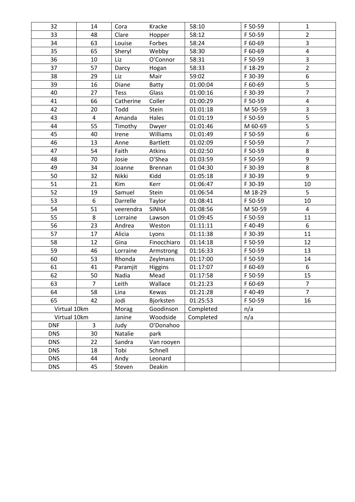| 32           | 14             | Cora        | Kracke          | 58:10     | F 50-59 | 1                       |
|--------------|----------------|-------------|-----------------|-----------|---------|-------------------------|
| 33           | 48             | Clare       | Hopper          | 58:12     | F 50-59 | $\overline{2}$          |
| 34           | 63             | Louise      | Forbes          | 58:24     | F 60-69 | 3                       |
| 35           | 65             | Sheryl      | Webby           | 58:30     | F 60-69 | 4                       |
| 36           | 10             | Liz         | O'Connor        | 58:31     | F 50-59 | 3                       |
| 37           | 57             | Darcy       | Hogan           | 58:33     | F 18-29 | $\overline{2}$          |
| 38           | 29             | Liz         | Mair            | 59:02     | F 30-39 | 6                       |
| 39           | 16             | Diane       | Batty           | 01:00:04  | F 60-69 | 5                       |
| 40           | 27             | <b>Tess</b> | Glass           | 01:00:16  | F 30-39 | $\overline{7}$          |
| 41           | 66             | Catherine   | Coller          | 01:00:29  | F 50-59 | $\overline{\mathbf{4}}$ |
| 42           | 20             | Todd        | Stein           | 01:01:18  | M 50-59 | 3                       |
| 43           | 4              | Amanda      | Hales           | 01:01:19  | F 50-59 | 5                       |
| 44           | 55             | Timothy     | Dwyer           | 01:01:46  | M 60-69 | 5                       |
| 45           | 40             | Irene       | Williams        | 01:01:49  | F 50-59 | 6                       |
| 46           | 13             | Anne        | <b>Bartlett</b> | 01:02:09  | F 50-59 | $\overline{7}$          |
| 47           | 54             | Faith       | Atkins          | 01:02:50  | F 50-59 | 8                       |
| 48           | 70             | Josie       | O'Shea          | 01:03:59  | F 50-59 | $\boldsymbol{9}$        |
| 49           | 34             | Joanne      | Brennan         | 01:04:30  | F 30-39 | 8                       |
| 50           | 32             | Nikki       | Kidd            | 01:05:18  | F 30-39 | 9                       |
| 51           | 21             | Kim         | Kerr            | 01:06:47  | F 30-39 | 10                      |
| 52           | 19             | Samuel      | Stein           | 01:06:54  | M 18-29 | 5                       |
| 53           | 6              | Darrelle    | Taylor          | 01:08:41  | F 50-59 | 10                      |
| 54           | 51             | veerendra   | <b>SINHA</b>    | 01:08:56  | M 50-59 | 4                       |
| 55           | 8              | Lorraine    | Lawson          | 01:09:45  | F 50-59 | 11                      |
| 56           | 23             | Andrea      | Weston          | 01:11:11  | F40-49  | $\boldsymbol{6}$        |
| 57           | 17             | Alicia      | Lyons           | 01:11:38  | F 30-39 | 11                      |
| 58           | 12             | Gina        | Finocchiaro     | 01:14:18  | F 50-59 | 12                      |
| 59           | 46             | Lorraine    | Armstrong       | 01:16:33  | F 50-59 | 13                      |
| 60           | 53             | Rhonda      | Zeylmans        | 01:17:00  | F 50-59 | 14                      |
| 61           | 41             | Paramjit    | Higgins         | 01:17:07  | F 60-69 | $6\phantom{1}$          |
| 62           | 50             | Nadia       | Mead            | 01:17:58  | F 50-59 | 15                      |
| 63           | $\overline{7}$ | Leith       | Wallace         | 01:21:23  | F 60-69 | $\overline{7}$          |
| 64           | 58             | Lina        | Kewas           | 01:21:28  | F40-49  | $\overline{7}$          |
| 65           | 42             | Jodi        | Bjorksten       | 01:25:53  | F 50-59 | 16                      |
| Virtual 10km |                | Morag       | Goodinson       | Completed | n/a     |                         |
| Virtual 10km |                | Janine      | Woodside        | Completed | n/a     |                         |
| <b>DNF</b>   | 3              | Judy        | O'Donahoo       |           |         |                         |
| <b>DNS</b>   | 30             | Natalie     | park            |           |         |                         |
| <b>DNS</b>   | 22             | Sandra      | Van rooyen      |           |         |                         |
| <b>DNS</b>   | 18             | Tobi        | Schnell         |           |         |                         |
| <b>DNS</b>   | 44             | Andy        | Leonard         |           |         |                         |
| <b>DNS</b>   | 45             | Steven      | Deakin          |           |         |                         |